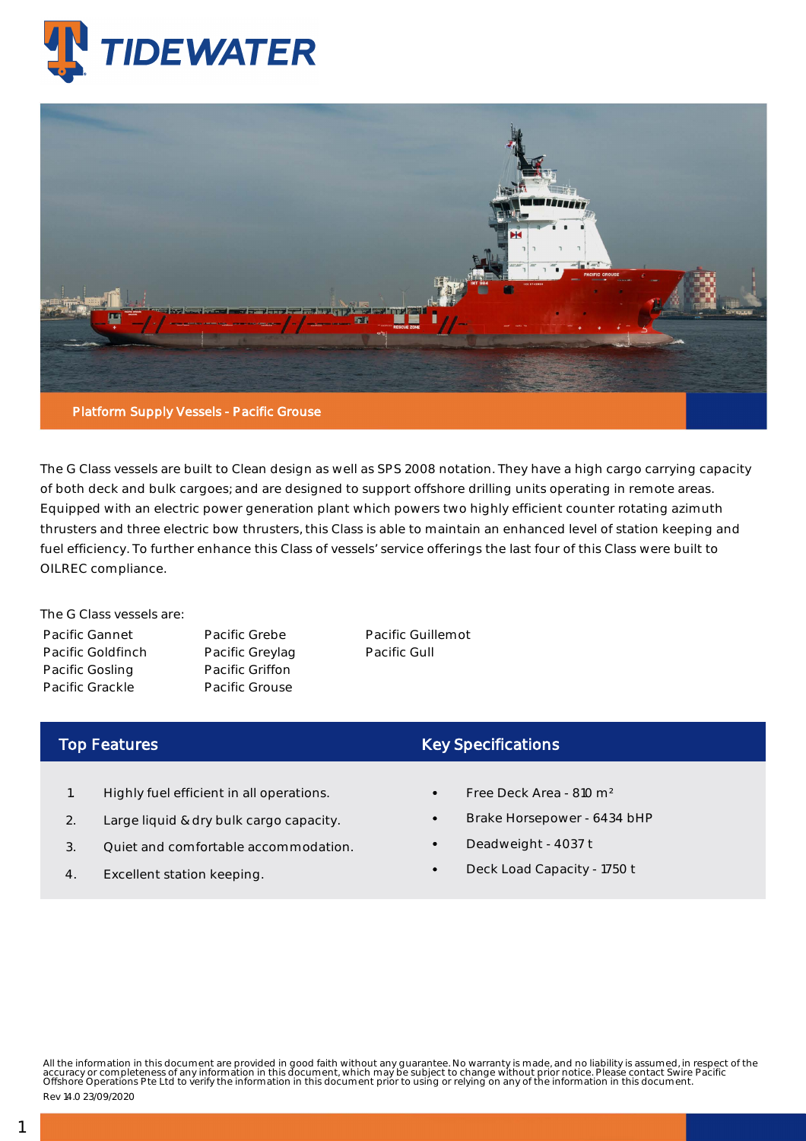



The G Class vessels are built to Clean design as well as SPS 2008 notation. They have a high cargo carrying capacity of both deck and bulk cargoes; and are designed to support offshore drilling units operating in remote areas. Equipped with an electric power generation plant which powers two highly efficient counter rotating azimuth thrusters and three electric bow thrusters, this Class is able to maintain an enhanced level of station keeping and fuel efficiency. To further enhance this Class of vessels' service offerings the last four of this Class were built to OILREC compliance.

The G Class vessels are: Pacific Gannet Pacific Goldfinch Pacific Gosling Pacific Grackle

Pacific Grebe Pacific Greylag Pacific Griffon Pacific Grouse

Pacific Guillemot Pacific Gull

## Top Features

- 1. Highly fuel efficient in all operations.
- 2. Large liquid & dry bulk cargo capacity.
- 3. Quiet and comfortable accommodation.
- 4. Excellent station keeping.

## Key Specifications

- Free Deck Area 810 m²
- Brake Horsepower 6434 bHP
- Deadweight 4037 t
- Deck Load Capacity 1750 t

All the information in this document are provided in good faith without any guarantee. No warranty is made, and no liability is assumed, in respect of the<br>accuracy or completeness of any information in this document, which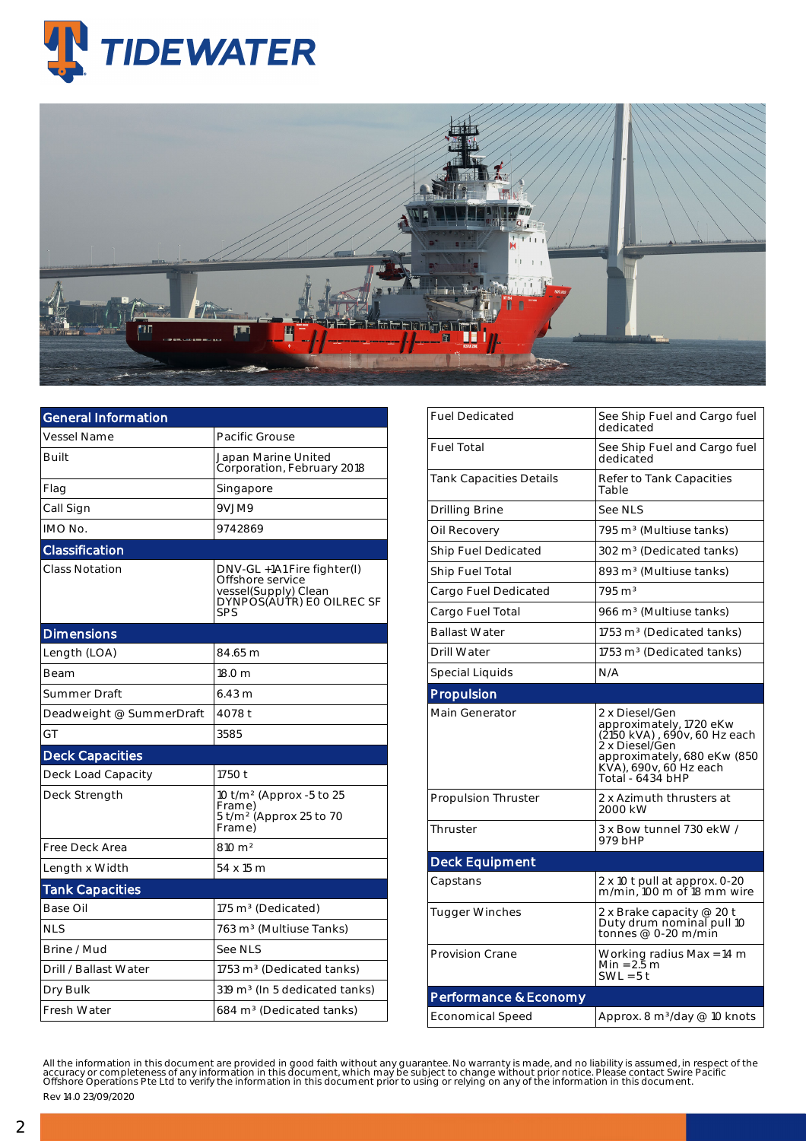



| <b>General Information</b> |                                                                                                             |  |  |  |  |  |  |
|----------------------------|-------------------------------------------------------------------------------------------------------------|--|--|--|--|--|--|
| <b>Vessel Name</b>         | Pacific Grouse                                                                                              |  |  |  |  |  |  |
| <b>Built</b>               | Japan Marine United<br>Corporation, February 2018                                                           |  |  |  |  |  |  |
| Flag                       | Singapore                                                                                                   |  |  |  |  |  |  |
| Call Sign                  | 9VJM9                                                                                                       |  |  |  |  |  |  |
| IMO No.                    | 9742869                                                                                                     |  |  |  |  |  |  |
| Classification             |                                                                                                             |  |  |  |  |  |  |
| <b>Class Notation</b>      | DNV-GL +1A1 Fire fighter(I)<br>Offshore service<br>vessel(Supply) Clean<br>DYNPOS(AUTR) EO OILREC SF<br>SPS |  |  |  |  |  |  |
| <b>Dimensions</b>          |                                                                                                             |  |  |  |  |  |  |
| Length (LOA)               | 84.65 m                                                                                                     |  |  |  |  |  |  |
| Beam                       | 18.0 m                                                                                                      |  |  |  |  |  |  |
| Summer Draft               | 6.43 m                                                                                                      |  |  |  |  |  |  |
| Deadweight @ SummerDraft   | 4078 t                                                                                                      |  |  |  |  |  |  |
| GT                         | 3585                                                                                                        |  |  |  |  |  |  |
| <b>Deck Capacities</b>     |                                                                                                             |  |  |  |  |  |  |
| Deck Load Capacity         | 1750 t                                                                                                      |  |  |  |  |  |  |
| Deck Strength              | 10 t/m <sup>2</sup> (Approx -5 to 25<br>Frame)<br>5 t/m <sup>2</sup> (Approx 25 to 70<br>Frame)             |  |  |  |  |  |  |
| Free Deck Area             | $810 \text{ m}^2$                                                                                           |  |  |  |  |  |  |
| Length x Width             | 54 x 15 m                                                                                                   |  |  |  |  |  |  |
| <b>Tank Capacities</b>     |                                                                                                             |  |  |  |  |  |  |
| Base Oil                   | 175 m <sup>3</sup> (Dedicated)                                                                              |  |  |  |  |  |  |
| <b>NLS</b>                 | 763 m <sup>3</sup> (Multiuse Tanks)                                                                         |  |  |  |  |  |  |
| Brine / Mud                | See NLS                                                                                                     |  |  |  |  |  |  |
| Drill / Ballast Water      | 1753 m <sup>3</sup> (Dedicated tanks)                                                                       |  |  |  |  |  |  |
| Dry Bulk                   | 319 m <sup>3</sup> (In 5 dedicated tanks)                                                                   |  |  |  |  |  |  |
| Fresh Water                | 684 m <sup>3</sup> (Dedicated tanks)                                                                        |  |  |  |  |  |  |

| <b>Fuel Dedicated</b>          | See Ship Fuel and Cargo fuel<br>dedicated                                                                                                                                |  |  |  |  |
|--------------------------------|--------------------------------------------------------------------------------------------------------------------------------------------------------------------------|--|--|--|--|
| <b>Fuel Total</b>              | See Ship Fuel and Cargo fuel<br>dedicated                                                                                                                                |  |  |  |  |
| <b>Tank Capacities Details</b> | Refer to Tank Capacities<br>Table                                                                                                                                        |  |  |  |  |
| <b>Drilling Brine</b>          | See NLS                                                                                                                                                                  |  |  |  |  |
| Oil Recovery                   | 795 m <sup>3</sup> (Multiuse tanks)                                                                                                                                      |  |  |  |  |
| <b>Ship Fuel Dedicated</b>     | 302 m <sup>3</sup> (Dedicated tanks)                                                                                                                                     |  |  |  |  |
| Ship Fuel Total                | 893 m <sup>3</sup> (Multiuse tanks)                                                                                                                                      |  |  |  |  |
| Cargo Fuel Dedicated           | $795 \text{ m}^3$                                                                                                                                                        |  |  |  |  |
| Cargo Fuel Total               | 966 m <sup>3</sup> (Multiuse tanks)                                                                                                                                      |  |  |  |  |
| <b>Ballast Water</b>           | 1753 m <sup>3</sup> (Dedicated tanks)                                                                                                                                    |  |  |  |  |
| <b>Drill Water</b>             | 1753 m <sup>3</sup> (Dedicated tanks)                                                                                                                                    |  |  |  |  |
| Special Liquids                | N/A                                                                                                                                                                      |  |  |  |  |
| Propulsion                     |                                                                                                                                                                          |  |  |  |  |
| <b>Main Generator</b>          | 2 x Diesel/Gen<br>approximately, 1720 eKw<br>(2150 kVA), 690v, 60 Hz each<br>2 x Diesel/Gen<br>approximately, 680 eKw (850<br>KVA), 690v, 60 Hz each<br>Total - 6434 bHP |  |  |  |  |
| <b>Propulsion Thruster</b>     | 2 x Azimuth thrusters at<br>2000 kW                                                                                                                                      |  |  |  |  |
| Thruster                       | 3 x Bow tunnel 730 ekW /<br>979 bHP                                                                                                                                      |  |  |  |  |
| <b>Deck Equipment</b>          |                                                                                                                                                                          |  |  |  |  |
| Capstans                       | 2 x 10 t pull at approx. 0-20<br>m/min, 100 m of 18 mm wire                                                                                                              |  |  |  |  |
| <b>Tugger Winches</b>          | 2 x Brake capacity @ 20 t<br>Duty drum nominal pull 10<br>tonnes @ 0-20 m/min                                                                                            |  |  |  |  |
| <b>Provision Crane</b>         | Working radius Max = 14 m<br>Min = 2.5 m<br>$SWL = 5t$                                                                                                                   |  |  |  |  |
| Performance & Economy          |                                                                                                                                                                          |  |  |  |  |
| <b>Economical Speed</b>        | Approx. 8 m <sup>3</sup> /day @ 10 knots                                                                                                                                 |  |  |  |  |

All the information in this document are provided in good faith without any guarantee. No warranty is made, and no liability is assumed, in respect of the<br>accuracy or completeness of any information in this document, which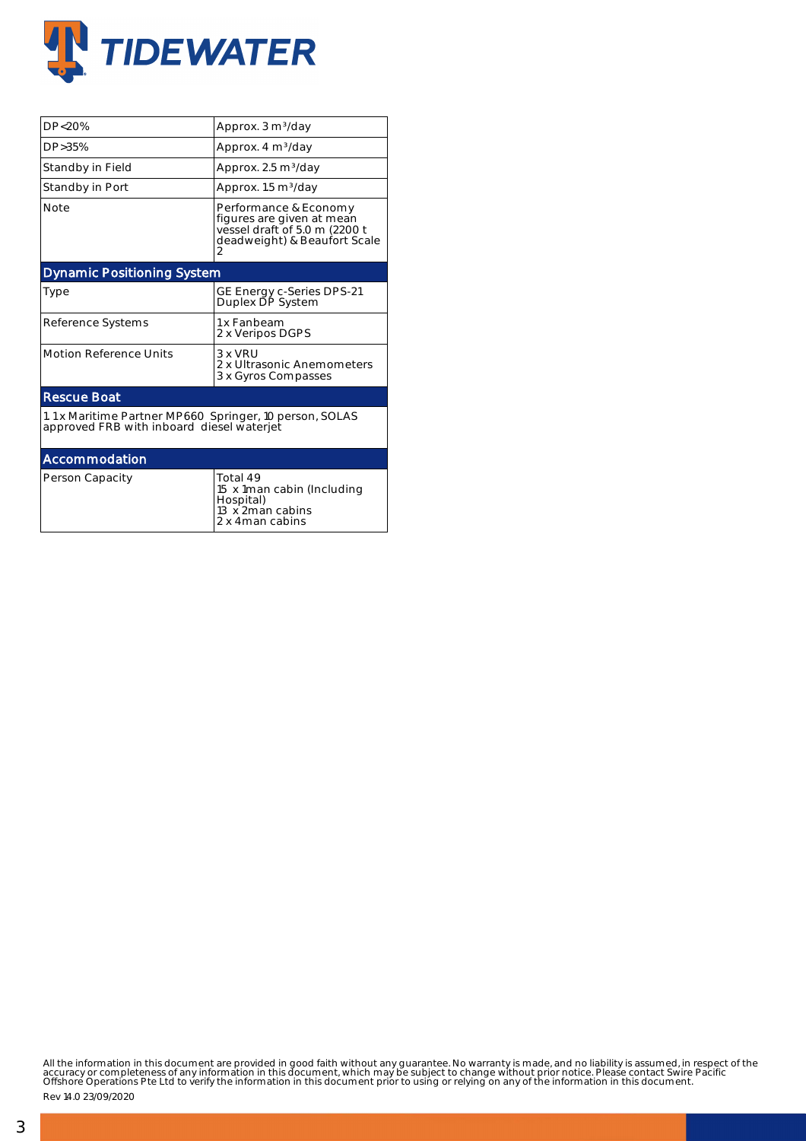

| DP<20%                                    | Approx. 3 m <sup>3</sup> /day                                                                                            |  |  |  |  |  |
|-------------------------------------------|--------------------------------------------------------------------------------------------------------------------------|--|--|--|--|--|
| DP>35%                                    | Approx. 4 m <sup>3</sup> /day                                                                                            |  |  |  |  |  |
| Standby in Field                          | Approx. 2.5 m <sup>3</sup> /day                                                                                          |  |  |  |  |  |
| Standby in Port                           | Approx. 1.5 m <sup>3</sup> /day                                                                                          |  |  |  |  |  |
| <b>Note</b>                               | Performance & Economy<br>figures are given at mean<br>vessel draft of 5.0 m (2200 t<br>deadweight) & Beaufort Scale<br>2 |  |  |  |  |  |
| <b>Dynamic Positioning System</b>         |                                                                                                                          |  |  |  |  |  |
| Type                                      | GE Energy c-Series DPS-21<br>Duplex DP System                                                                            |  |  |  |  |  |
| Reference Systems                         | 1 x Fanbeam<br>2 x Veripos DGPS                                                                                          |  |  |  |  |  |
| <b>Motion Reference Units</b>             | 3 x VRU<br>2 x Ultrasonic Anemometers<br>3 x Gyros Compasses                                                             |  |  |  |  |  |
| <b>Rescue Boat</b>                        |                                                                                                                          |  |  |  |  |  |
| approved FRB with inboard diesel waterjet | 1.1 x Maritime Partner MP660 Springer, 10 person, SOLAS                                                                  |  |  |  |  |  |
| Accommodation                             |                                                                                                                          |  |  |  |  |  |
| Person Capacity                           | Total 49<br>15 x 1man cabin (Including<br>Hospital)<br>13 x 2man cabins<br>2 x 4man cabins                               |  |  |  |  |  |

All the information in this document are provided in good faith without any guarantee. No warranty is made, and no liability is assumed, in respect of the<br>accuracy or completeness of any information in this document, which